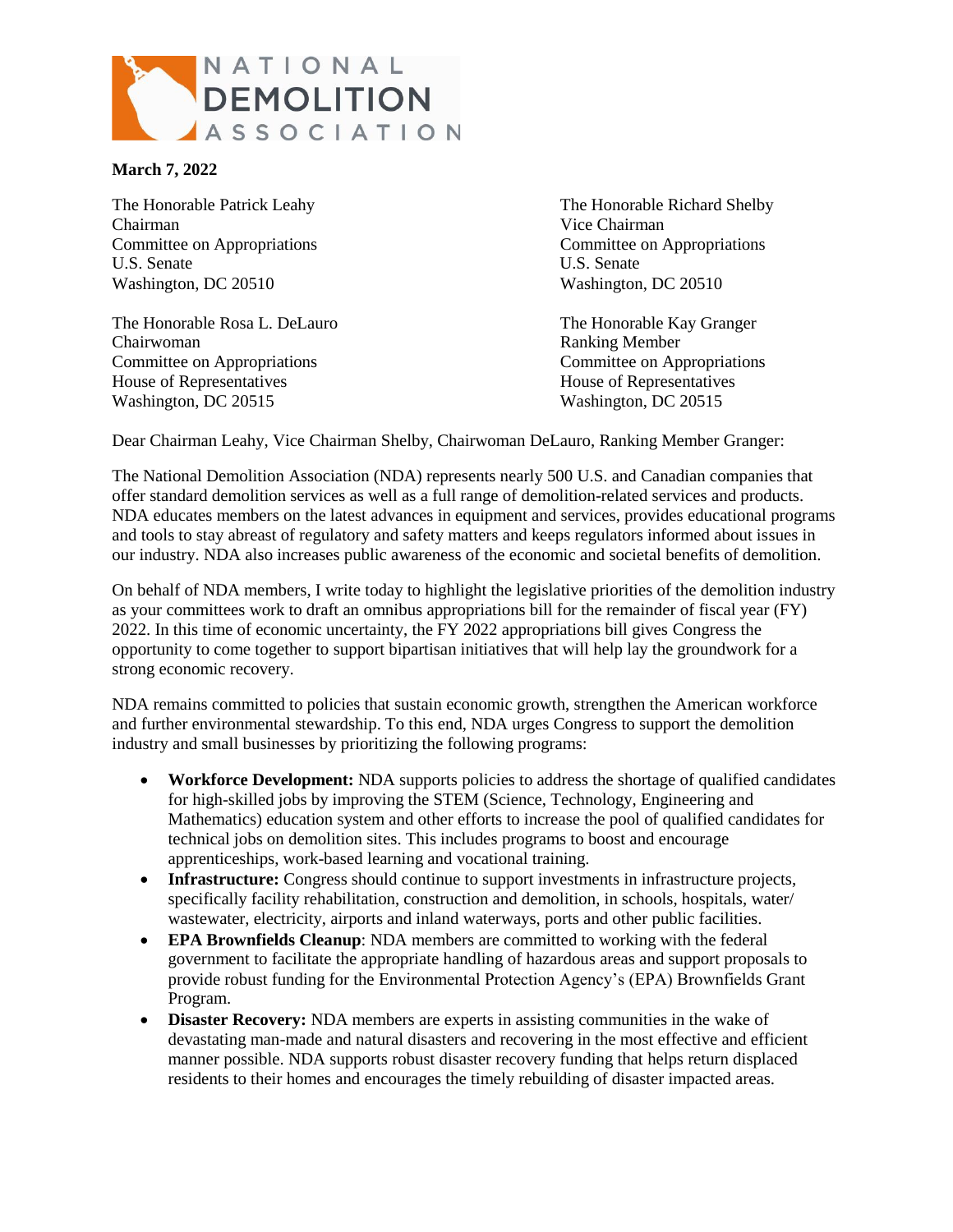

## **March 7, 2022**

Chairman Vice Chairman Committee on Appropriations Committee on Appropriations U.S. Senate U.S. Senate Washington, DC 20510 Washington, DC 20510

The Honorable Rosa L. DeLauro The Honorable Kay Granger Chairwoman Ranking Member Committee on Appropriations Committee on Appropriations House of Representatives House of Representatives Washington, DC 20515 Washington, DC 20515

The Honorable Patrick Leahy The Honorable Richard Shelby

Dear Chairman Leahy, Vice Chairman Shelby, Chairwoman DeLauro, Ranking Member Granger:

The National Demolition Association (NDA) represents nearly 500 U.S. and Canadian companies that offer standard demolition services as well as a full range of demolition-related services and products. NDA educates members on the latest advances in equipment and services, provides educational programs and tools to stay abreast of regulatory and safety matters and keeps regulators informed about issues in our industry. NDA also increases public awareness of the economic and societal benefits of demolition.

On behalf of NDA members, I write today to highlight the legislative priorities of the demolition industry as your committees work to draft an omnibus appropriations bill for the remainder of fiscal year (FY) 2022. In this time of economic uncertainty, the FY 2022 appropriations bill gives Congress the opportunity to come together to support bipartisan initiatives that will help lay the groundwork for a strong economic recovery.

NDA remains committed to policies that sustain economic growth, strengthen the American workforce and further environmental stewardship. To this end, NDA urges Congress to support the demolition industry and small businesses by prioritizing the following programs:

- **Workforce Development:** NDA supports policies to address the shortage of qualified candidates for high-skilled jobs by improving the STEM (Science, Technology, Engineering and Mathematics) education system and other efforts to increase the pool of qualified candidates for technical jobs on demolition sites. This includes programs to boost and encourage apprenticeships, work-based learning and vocational training.
- **Infrastructure:** Congress should continue to support investments in infrastructure projects, specifically facility rehabilitation, construction and demolition, in schools, hospitals, water/ wastewater, electricity, airports and inland waterways, ports and other public facilities.
- **EPA Brownfields Cleanup**: NDA members are committed to working with the federal government to facilitate the appropriate handling of hazardous areas and support proposals to provide robust funding for the Environmental Protection Agency's (EPA) Brownfields Grant Program.
- **Disaster Recovery:** NDA members are experts in assisting communities in the wake of devastating man-made and natural disasters and recovering in the most effective and efficient manner possible. NDA supports robust disaster recovery funding that helps return displaced residents to their homes and encourages the timely rebuilding of disaster impacted areas.